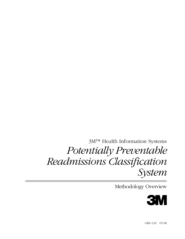3M™ Health Information Systems *Potentially Preventable Readmissions Classification System*

Methodology Overview

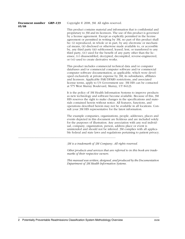**Document number GRP–139 05/08**

Copyright © 2008, 3M. All rights reserved.

This product contains material and information that is confidential and proprietary to 3M and its licensors. The use of this product is governed by a license agreement. Except as explicitly permitted in the license agreement or permitted in writing by 3M, no part of this product shall be: (i) reproduced, in whole or in part, by any electronic or mechanical means, (ii) disclosed or otherwise made available to, or accessible by, any third party (iii) sublicensed, leased, lent, or transferred to any third party, (iv) used for the benefit of any party other than the licensee, (v) disassembled, decrypted, decompiled, reverse-engineered, or (vi) used to create derivative works.

This product includes commercial technical data and/or computer databases and/or commercial computer software and/or commercial computer software documentation, as applicable, which were developed exclusively at private expense by 3M, its subsidiaries, affiliates and licensors. Applicable FAR/DFARS restrictions, and associated license terms, apply to US Government use. 3M HIS can be contacted at 575 West Murray Boulevard, Murray, UT 84123.

It is the policy of 3M Health Information Systems to improve products as new technology and software become available. Because of this, 3M HIS reserves the right to make changes in the specifications and materials contained herein without notice. All features, functions, and operations described herein may not be available in all locations. Consult your 3M HIS representative for the latest information.

The example companies, organizations, people, addresses, places and events depicted in this document are fictitious and are included solely for the purposes of illustration. Any association with any real individual, company, organization, person, address place or event is unintended and should not be inferred. 3M complies with all applicable federal and state laws and regulations pertaining to patient privacy.

*3M is a trademark of 3M Company. All rights reserved.*

*Other products and services that are referred to in this book are trademarks of their respective owners.* 

*This manual was written, designed, and produced by the Documentation Department of 3M Health Information Systems.*

**—————————————————————————————————————————————————————————————————————————————————————————————————————**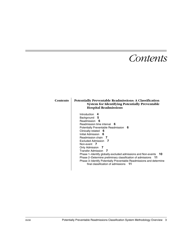## *Contents*

| Contents | <b>Potentially Preventable Readmissions: A Classification</b><br><b>System for Identifying Potentially Preventable</b><br><b>Hospital Readmissions</b>                                                                                                                                                                                                                                                                                                                                                                                          |
|----------|-------------------------------------------------------------------------------------------------------------------------------------------------------------------------------------------------------------------------------------------------------------------------------------------------------------------------------------------------------------------------------------------------------------------------------------------------------------------------------------------------------------------------------------------------|
|          | Introduction<br>4<br>Background 5<br>Readmission 6<br>Readmission time interval 6<br>Potentially Preventable Readmission 6<br>Clinically-related<br>- 6<br>Initial Admission 6<br>Readmission chain 7<br>Excluded Admission 7<br>Non-event 7<br>Only Admission 7<br>Transfer Admission 7<br>Phase 1–Identify globally-excluded admissions and Non-events 10<br>Phase 2–Determine preliminary classification of admissions 11<br>Phase 3–Identify Potentially Preventable Readmissions and determine<br>final classification of admissions<br>11 |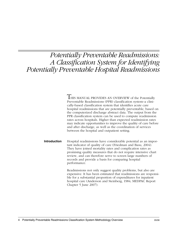## *Potentially Preventable Readmissions: A Classification System for Identifying Potentially Preventable Hospital Readmissions*

**THIS MANUAL PROVIDES AN OVERVIEW of the Potentially** Preventable Readmissions (PPR) classification system–a clinically-based classification system that identifies acute care hospital readmissions that are potentially preventable, based on the computerized discharge abstract data. The output from the PPR classification system can be used to compute readmission rates across hospitals. Higher than expected readmission rates may indicate opportunities to improve the quality of care before and after discharge, as well as the coordination of services between the hospital and outpatient setting.

**Introduction** Hospital readmissions have considerable potential as an important indicator of quality of care (Friedman and Basu, 2004). They have joined mortality rates and complication rates as promising quality measures that do not require intensive chart review, and can therefore serve to screen large numbers of records and provide a basis for comparing hospital performance.

> Readmissions not only suggest quality problems, but also are expensive. It has been estimated that readmissions are responsible for a substantial proportion of expenditures for inpatient hospital care (Anderson and Steinberg, 1984; MEDPAC Report Chapter 5 June 2007).

4 Potentially Preventable Readmissions Classification System Methodology Overview 05/08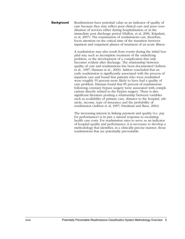**Background** Readmissions have potential value as an indicator of quality of care because they may reflect poor clinical care and poor coordination of services either during hospitalization or in the immediate post discharge period (Halfon, et al, 2006, Kripalani, et al, 2007). The examination of readmissions can, therefore, focus attention on the critical time of the transition between inpatient and outpatient phases of treatment of an acute illness.

> A readmission may also result from events during the initial hospital stay such as incomplete treatment of the underlying problem, or the development of a complication that only becomes evident after discharge. The relationship between quality of care and readmissions has been documented (Ashton et al., 1997; Hannan et al., 2003). Ashton concluded that an early readmission is significantly associated with the process of inpatient care and found that patients who were readmitted were roughly 55 percent more likely to have had a quality of care problem. Hannan found that 85 percent of readmissions following coronary bypass surgery were associated with complications directly related to the bypass surgery. There is also significant literature positing a relationship between variables such as availability of primary care, distance to the hospital, ethnicity, income, type of insurance and the probability of readmission (Ashton et al, 1997; Friedman and Basu, 2004).

The increasing interest in linking payment and quality (i.e. pay for performance) is in part a natural response to escalating health care costs. For readmission rates to serve as an indicator of hospital quality and performance, it is necessary to develop a methodology that identifies, in a clinically-precise manner, those readmissions that are potentially preventable.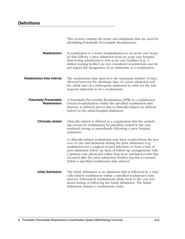|                                               | This section contains the terms and definitions that are used for<br>identifying Potentially Preventable Readmissions.                                                                                                                                                                                                                                                                                                                                  |
|-----------------------------------------------|---------------------------------------------------------------------------------------------------------------------------------------------------------------------------------------------------------------------------------------------------------------------------------------------------------------------------------------------------------------------------------------------------------------------------------------------------------|
| <b>Readmission</b>                            | A readmission is a return hospitalization to an acute care hospi-<br>tal that follows a prior admission from an acute care hospital.<br>Intervening admissions to non acute care facilities (e.g., a<br>skilled nursing facility) are not considered readmissions and do<br>not impact the designation of an admission as a readmission.                                                                                                                |
| <b>Readmission time interval</b>              | The readmission time interval is the maximum number of days<br>allowed between the discharge date of a prior admission and<br>the admit date of a subsequent admission in order for the sub-<br>sequent admission to be a readmission.                                                                                                                                                                                                                  |
| <b>Potentially Preventable</b><br>Readmission | A Potentially Preventable Readmission (PPR) is a readmission<br>(return hospitalization within the specified readmission time<br>interval, as defined above) that is clinically-related (as defined<br>below) to the initial hospital admission.                                                                                                                                                                                                        |
| <b>Clinically-related</b>                     | Clinically-related is defined as a requirement that the underly-<br>ing reason for readmission be plausibly related to the care<br>rendered during or immediately following a prior hospital<br>admission.                                                                                                                                                                                                                                              |
|                                               | A clinically-related readmission may have resulted from the pro-<br>cess of care and treatment during the prior admission (e.g.<br>readmission for a surgical wound infection) or from a lack of<br>post admission follow up (lack of follow-up arrangements with<br>a primary care physician) rather than from unrelated events that<br>occurred after the prior admission (broken leg due to trauma)<br>within a specified readmission time interval. |
| <b>Initial Admission</b>                      | The Initial Admission is an admission that is followed by a clini-<br>cally-related readmission within a specified readmission time<br>interval. Subsequent readmissions relate back to the care ren-<br>dered during or following the Initial Admission. The Initial<br>Admission initiates a readmission chain.                                                                                                                                       |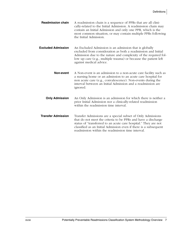**Readmission chain** A readmission chain is a sequence of PPRs that are all clinically-related to the Initial Admission. A readmission chain may contain an Initial Admission and only one PPR, which is the most common situation, or may contain multiple PPRs following the Initial Admission.

**Excluded Admission** An Excluded Admission is an admission that is globally excluded from consideration as both a readmission and Initial Admission due to the nature and complexity of the required follow up care (e.g., multiple trauma) or because the patient left against medical advice.

- **Non-event** A Non-event is an admission to a non-acute care facility such as a nursing home or an admission to an acute care hospital for non acute care (e.g., convalescence). Non-events during the interval between an Initial Admission and a readmission are ignored.
- **Only Admission** An Only Admission is an admission for which there is neither a prior Initial Admission nor a clinically-related readmission within the readmission time interval.
- **Transfer Admission** Transfer Admissions are a special subset of Only Admissions that do not meet the criteria to be PPRs and have a discharge status of "transferred to an acute care hospital." They are not classified as an Initial Admission even if there is a subsequent readmission within the readmission time interval.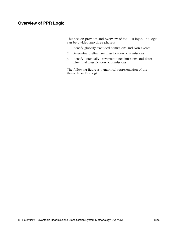This section provides and overview of the PPR logic. The logic can be divided into three phases:

- 1. Identify globally-excluded admissions and Non-events
- 2. Determine preliminary classification of admissions
- 3. Identify Potentially Preventable Readmissions and determine final classification of admissions

The following figure is a graphical representation of the three-phase PPR logic.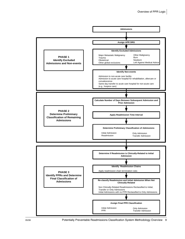

05/08 Potentially Preventable Readmissions Classification System Methodology Overview 9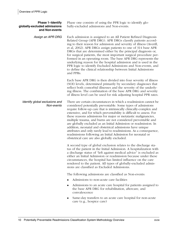| <b>Phase 1-Identify</b><br>globally-excluded admissions<br>and Non-events | Phase one consists of using the PPR logic to identify glo-<br>bally-excluded admissions and Non-events.                                                                                                                                                                                                                                                                                                                                                                                                                                                                                                                                                                                                                                 |
|---------------------------------------------------------------------------|-----------------------------------------------------------------------------------------------------------------------------------------------------------------------------------------------------------------------------------------------------------------------------------------------------------------------------------------------------------------------------------------------------------------------------------------------------------------------------------------------------------------------------------------------------------------------------------------------------------------------------------------------------------------------------------------------------------------------------------------|
| Assign an APR DRG                                                         | Each admission is assigned to an All Patient Refined Diagnosis<br>Related Group (APR DRG). APR DRGs classify patients accord-<br>ing to their reason for admission and severity of illness (Averill,<br>et al, 2002). APR DRGs assign patients to one of 314 base APR<br>DRGs that are determined either by the principal diagnosis or,<br>for surgical patients, the most important surgical procedure per-<br>formed in an operating room. The base APR DRG represents the<br>underlying reason for the hospital admission and is used in the<br>PPR logic to identify Excluded Admissions and Non-events, and<br>to define the clinical relationship between Initial Admissions<br>and PPRs.                                         |
|                                                                           | Each base APR DRG is then divided into four severity of illness<br>(SOI) levels, determined primarily by secondary diagnoses that<br>reflect both comorbid illnesses and the severity of the underly-<br>ing illness. The combination of the base APR DRG and severity<br>of illness level can be used for risk adjusting hospital PPR rates.                                                                                                                                                                                                                                                                                                                                                                                           |
| Identify global exclusions and<br>Non-events                              | There are certain circumstances in which a readmission cannot be<br>considered potentially preventable. Some types of admissions<br>require follow-up care that is intrinsically clinically-complex and<br>extensive, and for which preventability is difficult to assess. For<br>these reasons admissions for major or metatastic malignancies,<br>multiple trauma, and burns are not considered preventable and<br>are globally excluded as an Initial Admission or readmission. In<br>addition, neonatal and obstetrical admissions have unique<br>attributes and only rarely lead to readmissions. As a consequence,<br>readmissions following an Initial Admission for neonatal or<br>obstetrical care are also globally excluded. |
|                                                                           | A second type of global exclusion relates to the discharge sta-<br>tus of the patient in the Initial Admission. A hospitalization with<br>a discharge status of "left against medical advice" is excluded as<br>either an Initial Admission or readmission because under these<br>circumstances, the hospital has limited influence on the care<br>rendered to the patient. All types of globally-excluded admis-<br>sions are classified as Excluded Admissions.                                                                                                                                                                                                                                                                       |
|                                                                           | The following admissions are classified as Non-events:<br>Admissions to non-acute care facilities                                                                                                                                                                                                                                                                                                                                                                                                                                                                                                                                                                                                                                       |
|                                                                           | Admissions to an acute care hospital for patients assigned to<br>the base APR DRG for rehabilitation, aftercare, and<br>convalescence                                                                                                                                                                                                                                                                                                                                                                                                                                                                                                                                                                                                   |
|                                                                           | Same-day transfers to an acute care hospital for non-acute<br>care (e.g., hospice care)                                                                                                                                                                                                                                                                                                                                                                                                                                                                                                                                                                                                                                                 |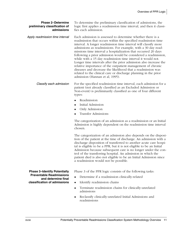| <b>Phase 2-Determine</b><br>preliminary classification of<br>admissions | To determine the preliminary classification of admissions, the<br>logic first applies a readmission time interval, and then it classi-<br>fies each admission.                                                                                                                                                                                                                                                                                                                                                                                                                                                                                                                                                                                                             |
|-------------------------------------------------------------------------|----------------------------------------------------------------------------------------------------------------------------------------------------------------------------------------------------------------------------------------------------------------------------------------------------------------------------------------------------------------------------------------------------------------------------------------------------------------------------------------------------------------------------------------------------------------------------------------------------------------------------------------------------------------------------------------------------------------------------------------------------------------------------|
| Apply readmission time interval                                         | Each admission is assessed to determine whether there is a<br>readmission that occurs within the specified readmission time<br>interval. A longer readmission time interval will classify more<br>admissions as readmissions. For example, with a 30 day read-<br>missions time interval a hospitalization that occurred 20 days<br>following a prior admission would be considered a readmission,<br>while with a 15 day readmission time interval it would not.<br>Longer time intervals after the prior admission also increase the<br>relative importance of the outpatient management of chronic<br>diseases and decrease the likelihood that a readmission was<br>related to the clinical care or discharge planning in the prior<br>admission (Hannan et al, 1995). |
| Classify each admission                                                 | For the specified readmission time interval, each admission for a<br>patient (not already classified as an Excluded Admission or<br>Non-event) is preliminarily classified as one of four different<br>types:                                                                                                                                                                                                                                                                                                                                                                                                                                                                                                                                                              |
|                                                                         | Readmission<br>$\bullet$                                                                                                                                                                                                                                                                                                                                                                                                                                                                                                                                                                                                                                                                                                                                                   |
|                                                                         | Initial Admission<br>٠                                                                                                                                                                                                                                                                                                                                                                                                                                                                                                                                                                                                                                                                                                                                                     |
|                                                                         | Only Admission<br>٠                                                                                                                                                                                                                                                                                                                                                                                                                                                                                                                                                                                                                                                                                                                                                        |
|                                                                         | <b>Transfer Admissions</b>                                                                                                                                                                                                                                                                                                                                                                                                                                                                                                                                                                                                                                                                                                                                                 |
|                                                                         | The categorization of an admission as a readmission or an Initial<br>Admission is highly dependent on the readmission time interval<br>chosen.                                                                                                                                                                                                                                                                                                                                                                                                                                                                                                                                                                                                                             |
|                                                                         | The categorization of an admission also depends on the disposi-<br>tion of the patient at the time of discharge. An admission with a<br>discharge disposition of transferred to another acute care hospi-<br>tal is eligible to be a PPR, but it is not eligible to be an Initial<br>Admission because subsequent care is no longer under the con-<br>trol of the transferring hospital. An admission in which the<br>patient died is also not eligible to be an Initial Admission since<br>a readmission would not be possible.                                                                                                                                                                                                                                           |
| <b>Phase 3-Identify Potentially</b>                                     | Phase 3 of the PPR logic consists of the following tasks:                                                                                                                                                                                                                                                                                                                                                                                                                                                                                                                                                                                                                                                                                                                  |
| <b>Preventable Readmissions</b>                                         | Determine if a readmission clinically-related                                                                                                                                                                                                                                                                                                                                                                                                                                                                                                                                                                                                                                                                                                                              |
| and determine final<br>classification of admissions                     | Identify readmission chains                                                                                                                                                                                                                                                                                                                                                                                                                                                                                                                                                                                                                                                                                                                                                |
|                                                                         | Terminate readmission chains for clinically-unrelated<br>٠<br>admissions                                                                                                                                                                                                                                                                                                                                                                                                                                                                                                                                                                                                                                                                                                   |
|                                                                         |                                                                                                                                                                                                                                                                                                                                                                                                                                                                                                                                                                                                                                                                                                                                                                            |

◆ Reclassify clinically-unrelated Initial Admissions and readmissions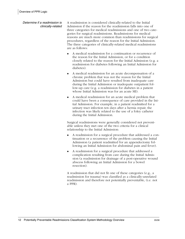Determine if a readmission is clinically-related A readmission is considered clinically-related to the Initial Admission if the reason for the readmission falls into one of three categories for medical readmissions and one of two categories for surgical readmissions. Readmissions for medical reasons are much more common than readmissions for surgical procedures, regardless of the reason for the Initial Admission. The three categories of clinically-related medical readmissions are as follows:

- A medical readmission for a continuation or recurrence of the reason for the Initial Admission, or for a condition closely related to the reason for the Initial Admission (e.g. a readmission for diabetes following an Initial Admission for diabetes).
- A medical readmission for an acute decompensation of a chronic problem that was not the reason for the Initial Admission but could have resulted from inadequate care during the Initial Admission or inadequate outpatient follow-up care (e.g. a readmission for diabetes in a patient whose Initial Admission was for an acute MI).
- ◆ A medical readmission for an acute medical problem that could have been a consequence of care provided in the Initial Admission. For example, in a patient readmitted for a urinary tract infection ten days after a hernia repair, the infection was likely related to the use of a foley catheter during the Initial Admission.

Surgical readmissions were generally considered not preventable unless they met one of the two criteria for a clinical relationship to the Initial Admission:

- ◆ A readmission for a surgical procedure that addressed a continuation or a recurrence of the problem causing the Initial Admission (a patient readmitted for an appendectomy following an Initial Admission for abdominal pain and fever).
- ◆ A readmission for a surgical procedure that addressed a complication resulting from care during the Initial Admission (a readmission for drainage of a post-operative wound abscess following an Initial Admission for a bowel resection).

A readmission that did not fit one of these categories (e.g., a readmission for trauma) was classified as a clinically-unrelated readmission and therefore not potentially preventable, (i.e. not a PPR).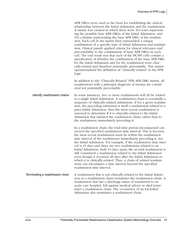|                                 | APR DRGs were used as the basis for establishing the clinical<br>relationship between the Initial Admission and the readmission.<br>A matrix was created in which there were 314 rows represent-<br>ing the possible base APR DRGs of the Initial Admission, and<br>314 columns representing the base APR DRG of the readmis-<br>sion. Each cell in the matrix then represented a unique<br>combination of a specific type of Initial Admission and readmis-<br>sion. Clinical panels applied criteria for clinical relevance and<br>preventability to the combination of base APR DRGs in each<br>cell. The end result was that each of the 98,596 cells contain a<br>specification of whether the combination of the base APR DRG<br>for the Initial Admission and for the readmission were clini-<br>cally-related and therefore potentially preventable. This matrix<br>operationalized the definition of "clinically-related" in the PPR<br>logic. |
|---------------------------------|---------------------------------------------------------------------------------------------------------------------------------------------------------------------------------------------------------------------------------------------------------------------------------------------------------------------------------------------------------------------------------------------------------------------------------------------------------------------------------------------------------------------------------------------------------------------------------------------------------------------------------------------------------------------------------------------------------------------------------------------------------------------------------------------------------------------------------------------------------------------------------------------------------------------------------------------------------|
|                                 | In addition to the "Clinically-Related" PPR APR DRG matrix, all<br>readmissions with a principal diagnosis of trauma are consid-<br>ered not potentially preventable.                                                                                                                                                                                                                                                                                                                                                                                                                                                                                                                                                                                                                                                                                                                                                                                   |
| Identify readmission chains     | In some instances, two or more readmissions will all be related<br>to a single Initial Admission. A readmission chain is essentially a<br>sequence of clinically-related admissions. If for a given readmis-<br>sion, the preceding admission is itself a readmission related to a<br>prior Initial Admission, then the most recent readmission is<br>assessed to determine if it is clinically-related to the Initial<br>Admission that initiated the readmission chain, rather than to<br>the readmission immediately preceding it.                                                                                                                                                                                                                                                                                                                                                                                                                   |
|                                 | In a readmission chain, the total time period encompassed can<br>exceed the specified readmission time interval. This is because<br>the most recent readmission must be within the readmission<br>time interval of the readmission immediately preceding it, not<br>the Initial Admission. For example, if the readmission time inter-<br>val is 15 days and there are two readmissions related to an<br>Initial Admission, both 14 days apart, the second readmission is<br>still considered a readmission related to the Initial Admission<br>even though it occurred 28 days after the Initial Admission to<br>which it is clinically-related. Thus, a chain of related readmis-<br>sions can encompass a time interval beyond the specified<br>readmission time interval.                                                                                                                                                                           |
| Terminating a readmission chain | A readmission that is not clinically-related to the Initial Admis-<br>sion in a readmission chain terminates the readmission chain. A<br>readmission that has a discharge status of transferred to an<br>acute care hospital, left against medical advice or died termi-<br>nates a readmission chain. The occurrence of an Excluded<br>Admission also terminates a readmission chain.                                                                                                                                                                                                                                                                                                                                                                                                                                                                                                                                                                  |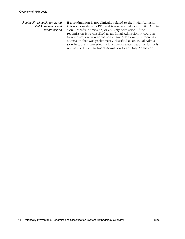Reclassify clinically-unrelated Initial Admissions and readmissions

If a readmission is not clinically-related to the Initial Admission, it is not considered a PPR and is re-classified as an Initial Admission, Transfer Admission, or an Only Admission. If the readmission is re-classified as an Initial Admission, it could in turn initiate a new readmission chain. Additionally, if there is an admission that was preliminarily classified as an Initial Admission because it preceded a clinically-unrelated readmission, it is re-classified from an Initial Admission to an Only Admission.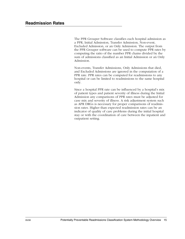The PPR Grouper Software classifies each hospital admission as a PPR, Initial Admission, Transfer Admission, Non-event, Excluded Admission, or an Only Admission. The output from the PPR Grouper software can be used to compute PPR rates by computing the ratio of the number PPR chains divided by the sum of admissions classified as an Initial Admission or an Only Admission.

Non-events, Transfer Admissions, Only Admissions that died, and Excluded Admissions are ignored in the computation of a PPR rate. PPR rates can be computed for readmissions to any hospital or can be limited to readmissions to the same hospital only.

Since a hospital PPR rate can be influenced by a hospital's mix of patient types and patient severity of illness during the Initial Admission any comparisons of PPR rates must be adjusted for case mix and severity of illness. A risk adjustment system such as APR DRGs is necessary for proper comparisons of readmission rates. Higher than expected readmission rates can be an indicator of quality of care problems during the initial hospital stay or with the coordination of care between the inpatient and outpatient setting.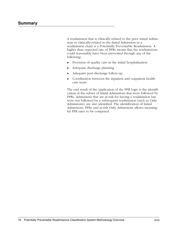A readmission that is clinically-related to the prior Initial Admission or clinically-related to the Initial Admission in a readmission chain is a Potentially Preventable Readmission. A higher than expected rate of PPRs means that the readmissions could reasonably have been prevented through any of the following:

- ◆ Provision of quality care in the initial hospitalization
- ◆ Adequate discharge planning
- ◆ Adequate post discharge follow-up
- ◆ Coordination between the inpatient and outpatient health care team

The end result of the application of the PPR logic is the identification of the subset of Initial Admissions that were followed by PPRs. Admissions that are at risk for having a readmission but were not followed by a subsequent readmission (such as Only Admissions), are also identified. The identification of Initial Admissions, PPRs and at-risk Only Admissions allows meaningful PPR rates to be computed.